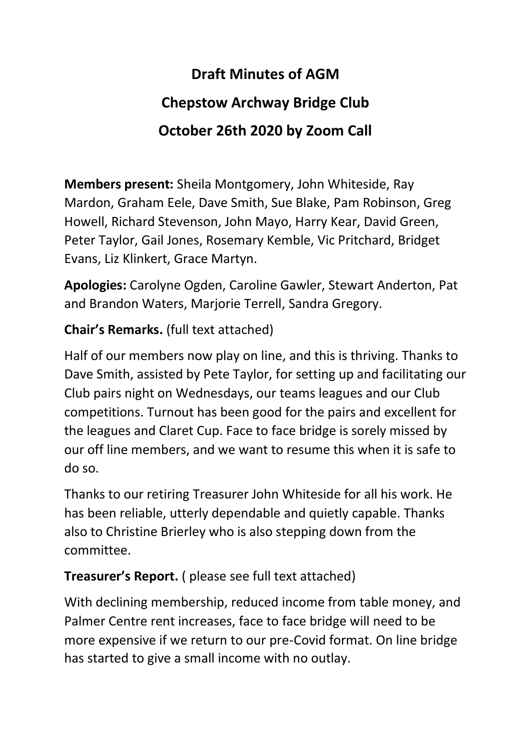# **Draft Minutes of AGM Chepstow Archway Bridge Club October 26th 2020 by Zoom Call**

**Members present:** Sheila Montgomery, John Whiteside, Ray Mardon, Graham Eele, Dave Smith, Sue Blake, Pam Robinson, Greg Howell, Richard Stevenson, John Mayo, Harry Kear, David Green, Peter Taylor, Gail Jones, Rosemary Kemble, Vic Pritchard, Bridget Evans, Liz Klinkert, Grace Martyn.

**Apologies:** Carolyne Ogden, Caroline Gawler, Stewart Anderton, Pat and Brandon Waters, Marjorie Terrell, Sandra Gregory.

### **Chair's Remarks.** (full text attached)

Half of our members now play on line, and this is thriving. Thanks to Dave Smith, assisted by Pete Taylor, for setting up and facilitating our Club pairs night on Wednesdays, our teams leagues and our Club competitions. Turnout has been good for the pairs and excellent for the leagues and Claret Cup. Face to face bridge is sorely missed by our off line members, and we want to resume this when it is safe to do so.

Thanks to our retiring Treasurer John Whiteside for all his work. He has been reliable, utterly dependable and quietly capable. Thanks also to Christine Brierley who is also stepping down from the committee.

# **Treasurer's Report.** ( please see full text attached)

With declining membership, reduced income from table money, and Palmer Centre rent increases, face to face bridge will need to be more expensive if we return to our pre-Covid format. On line bridge has started to give a small income with no outlay.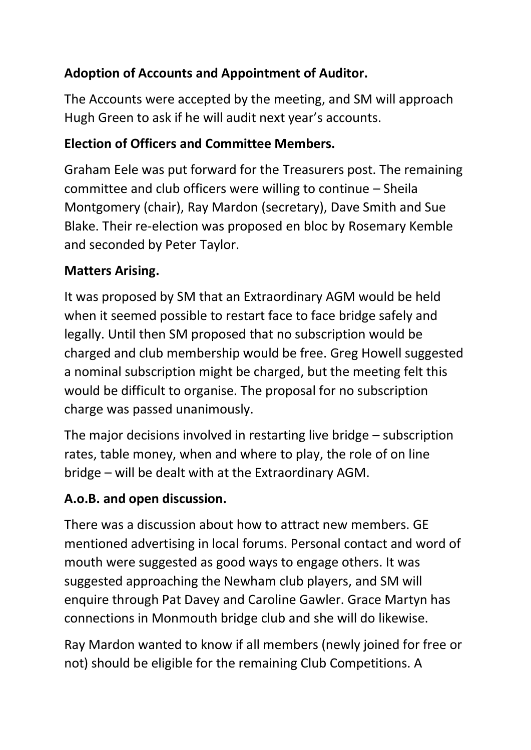# **Adoption of Accounts and Appointment of Auditor.**

The Accounts were accepted by the meeting, and SM will approach Hugh Green to ask if he will audit next year's accounts.

## **Election of Officers and Committee Members.**

Graham Eele was put forward for the Treasurers post. The remaining committee and club officers were willing to continue – Sheila Montgomery (chair), Ray Mardon (secretary), Dave Smith and Sue Blake. Their re-election was proposed en bloc by Rosemary Kemble and seconded by Peter Taylor.

### **Matters Arising.**

It was proposed by SM that an Extraordinary AGM would be held when it seemed possible to restart face to face bridge safely and legally. Until then SM proposed that no subscription would be charged and club membership would be free. Greg Howell suggested a nominal subscription might be charged, but the meeting felt this would be difficult to organise. The proposal for no subscription charge was passed unanimously.

The major decisions involved in restarting live bridge – subscription rates, table money, when and where to play, the role of on line bridge – will be dealt with at the Extraordinary AGM.

# **A.o.B. and open discussion.**

There was a discussion about how to attract new members. GE mentioned advertising in local forums. Personal contact and word of mouth were suggested as good ways to engage others. It was suggested approaching the Newham club players, and SM will enquire through Pat Davey and Caroline Gawler. Grace Martyn has connections in Monmouth bridge club and she will do likewise.

Ray Mardon wanted to know if all members (newly joined for free or not) should be eligible for the remaining Club Competitions. A